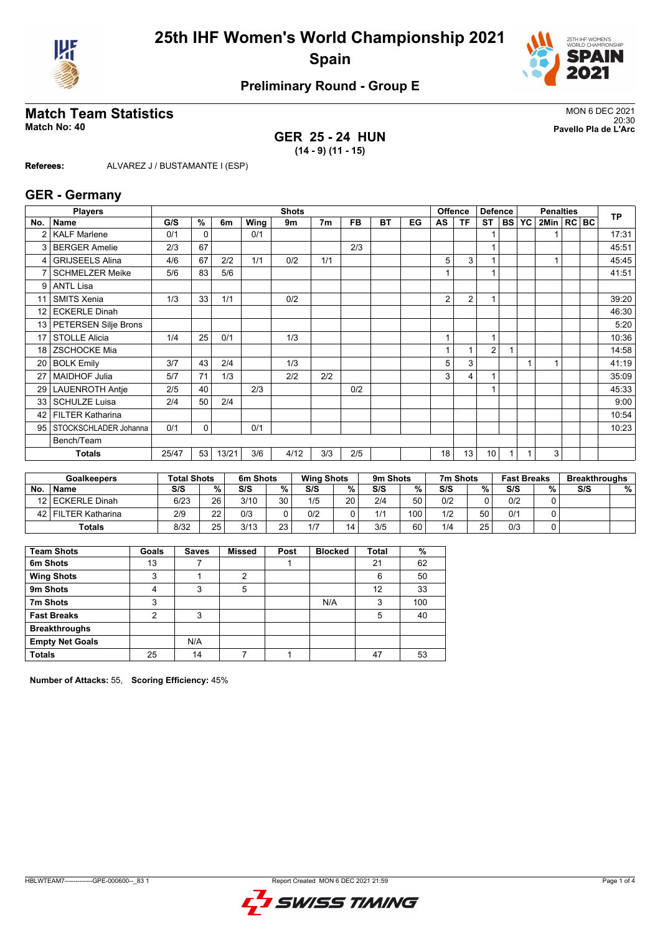



# **Preliminary Round - Group E**

# **Match Team Statistics** MON 6 DEC 2021

#### **GER 25 - 24 HUN (14 - 9) (11 - 15)**

20:30 **Match No: 40 Pavello Pla de L'Arc**

**Referees:** ALVAREZ J / BUSTAMANTE I (ESP)

#### **GER - Germany**

|                 | <b>Players</b>          | <b>Shots</b><br><b>Offence</b> |             |       |      |      |                |           |    |    | <b>Defence</b> |                | <b>Penalties</b> |        |           |              | <b>TP</b> |  |       |
|-----------------|-------------------------|--------------------------------|-------------|-------|------|------|----------------|-----------|----|----|----------------|----------------|------------------|--------|-----------|--------------|-----------|--|-------|
| No.             | Name                    | G/S                            | %           | 6m    | Wing | 9m   | 7 <sub>m</sub> | <b>FB</b> | BT | EG | AS             | <b>TF</b>      | <b>ST</b>        | I BS I | <b>YC</b> | 2Min   RC BC |           |  |       |
|                 | <b>KALF Marlene</b>     | 0/1                            | $\Omega$    |       | 0/1  |      |                |           |    |    |                |                |                  |        |           |              |           |  | 17:31 |
| 3               | <b>BERGER Amelie</b>    | 2/3                            | 67          |       |      |      |                | 2/3       |    |    |                |                | 1                |        |           |              |           |  | 45:51 |
| 4               | <b>GRIJSEELS Alina</b>  | 4/6                            | 67          | 2/2   | 1/1  | 0/2  | 1/1            |           |    |    | 5              | 3              |                  |        |           |              |           |  | 45:45 |
|                 | <b>SCHMELZER Meike</b>  | 5/6                            | 83          | 5/6   |      |      |                |           |    |    |                |                |                  |        |           |              |           |  | 41:51 |
| 9               | <b>ANTL Lisa</b>        |                                |             |       |      |      |                |           |    |    |                |                |                  |        |           |              |           |  |       |
| 11              | SMITS Xenia             | 1/3                            | 33          | 1/1   |      | 0/2  |                |           |    |    | 2              | $\overline{2}$ |                  |        |           |              |           |  | 39:20 |
| 12 <sup>°</sup> | <b>ECKERLE Dinah</b>    |                                |             |       |      |      |                |           |    |    |                |                |                  |        |           |              |           |  | 46:30 |
| 13 <sup>1</sup> | PETERSEN Silje Brons    |                                |             |       |      |      |                |           |    |    |                |                |                  |        |           |              |           |  | 5:20  |
| 17              | <b>STOLLE Alicia</b>    | 1/4                            | 25          | 0/1   |      | 1/3  |                |           |    |    | 1              |                | 1                |        |           |              |           |  | 10:36 |
| 18              | <b>ZSCHOCKE Mia</b>     |                                |             |       |      |      |                |           |    |    | 1              |                | $\overline{2}$   |        |           |              |           |  | 14:58 |
| 20              | <b>BOLK Emily</b>       | 3/7                            | 43          | 2/4   |      | 1/3  |                |           |    |    | 5              | 3              |                  |        |           |              |           |  | 41:19 |
| 27              | <b>MAIDHOF Julia</b>    | 5/7                            | 71          | 1/3   |      | 2/2  | 2/2            |           |    |    | 3              | 4              |                  |        |           |              |           |  | 35:09 |
| 29              | <b>LAUENROTH Antie</b>  | 2/5                            | 40          |       | 2/3  |      |                | 0/2       |    |    |                |                |                  |        |           |              |           |  | 45:33 |
| 33              | <b>SCHULZE Luisa</b>    | 2/4                            | 50          | 2/4   |      |      |                |           |    |    |                |                |                  |        |           |              |           |  | 9:00  |
| 42              | <b>FILTER Katharina</b> |                                |             |       |      |      |                |           |    |    |                |                |                  |        |           |              |           |  | 10:54 |
| 95              | STOCKSCHLADER Johanna   | 0/1                            | $\mathbf 0$ |       | 0/1  |      |                |           |    |    |                |                |                  |        |           |              |           |  | 10:23 |
|                 | Bench/Team              |                                |             |       |      |      |                |           |    |    |                |                |                  |        |           |              |           |  |       |
|                 | <b>Totals</b>           | 25/47                          | 53          | 13/21 | 3/6  | 4/12 | 3/3            | 2/5       |    |    | 18             | 13             | 10               |        |           | 3            |           |  |       |

|      | <b>Goalkeepers</b> | <b>Total Shots</b> |        | 6m Shots |    | <b>Wing Shots</b> |    | 9m Shots |     | 7m Shots |    | <b>Fast Breaks</b> |   | <b>Breakthroughs</b> |   |
|------|--------------------|--------------------|--------|----------|----|-------------------|----|----------|-----|----------|----|--------------------|---|----------------------|---|
| No   | <b>Name</b>        | S/S                | $\%$ . | S/S      | %  | S/S               | %  | S/S      | %   | S/S      | %  | S/S                | % | S/S                  | % |
|      | 12 ECKERLE Dinah   | 6/23               | 26     | 3/10     | 30 | 1/5               | 20 | 2/4      | 50  | 0/2      |    | 0/2                |   |                      |   |
| 42 l | l FILTER Katharina | 2/9                | つつ     | 0/3      |    | 0/2               |    | 1/1      | 100 | 1/2      | 50 | 0/1                |   |                      |   |
|      | <b>Totals</b>      | 8/32               | 25     | 3/13     | າາ | 1/7               | 14 | 3/5      | 60  | 1/4      | 25 | 0/3                |   |                      |   |

| <b>Team Shots</b>      | Goals | <b>Saves</b> | <b>Missed</b>  | Post | <b>Blocked</b> | Total | %   |
|------------------------|-------|--------------|----------------|------|----------------|-------|-----|
| 6m Shots               | 13    |              |                |      |                | 21    | 62  |
| <b>Wing Shots</b>      | 3     |              | $\mathfrak{p}$ |      |                | 6     | 50  |
| 9m Shots               | 4     | 3            | 5              |      |                | 12    | 33  |
| 7m Shots               | 3     |              |                |      | N/A            | 3     | 100 |
| <b>Fast Breaks</b>     | າ     | 3            |                |      |                | 5     | 40  |
| <b>Breakthroughs</b>   |       |              |                |      |                |       |     |
| <b>Empty Net Goals</b> |       | N/A          |                |      |                |       |     |
| <b>Totals</b>          | 25    | 14           |                |      |                | 47    | 53  |

**Number of Attacks:** 55, **Scoring Efficiency:** 45%

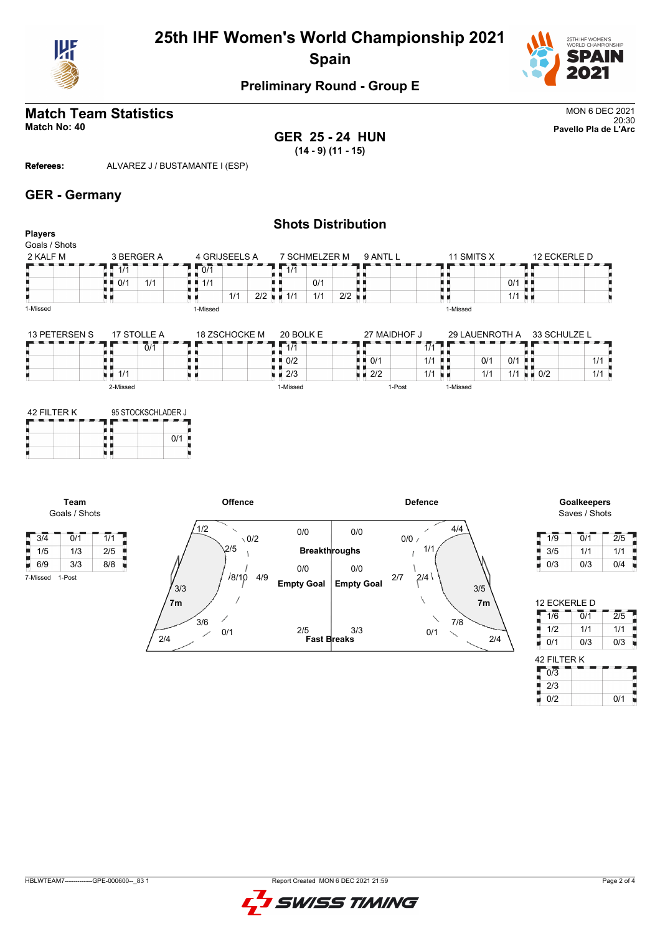



# **Preliminary Round - Group E**

#### **Match Team Statistics** MON 6 DEC 2021 **MATCH TEATH STATISTICS**<br>Match No: 40<br>Pavello Pla de L'Arc

**GER 25 - 24 HUN (14 - 9) (11 - 15)**

**Referees:** ALVAREZ J / BUSTAMANTE I (ESP)

#### **GER - Germany**

|                          |                                          |               | <b>Shots Distribution</b>         |                                   |                             |                                                  |
|--------------------------|------------------------------------------|---------------|-----------------------------------|-----------------------------------|-----------------------------|--------------------------------------------------|
| Players<br>Goals / Shots |                                          |               |                                   |                                   |                             |                                                  |
| 2 KALF M                 | 3 BERGER A                               | 4 GRIJSEELS A | 7 SCHMELZER M                     | 9 ANTL L                          | 11 SMITS X                  | 12 ECKERLE D                                     |
|                          | I I 1/1                                  | 10/1          | I I 1/1                           |                                   |                             |                                                  |
|                          | 1/1<br>$\blacksquare$ $\blacksquare$ 0/1 | 1/1<br>. .    | 0/1                               |                                   |                             | $0/1$ .                                          |
|                          |                                          | 1/1           | $2/2$ $\blacksquare$ 1/1<br>1/1   | $2/2$ $\blacksquare$              |                             | $1/1$ $\blacksquare$                             |
| 1-Missed                 |                                          | 1-Missed      |                                   |                                   | 1-Missed                    |                                                  |
| 13 PETERSEN S            | 17 STOLLE A                              | 18 ZSCHOCKE M | 20 BOLK E                         | 27 MAIDHOF J                      | 29 LAUENROTH A              | 33 SCHULZE L                                     |
|                          | 0/1                                      |               | 1/1                               |                                   | 1/1                         |                                                  |
|                          |                                          |               | 0/2<br>n n                        | $\blacksquare$ $\blacksquare$ 0/1 | 0/1<br>$1/1$ $\blacksquare$ | $0/1$ .<br>1/1                                   |
|                          | $\blacksquare$ $\blacksquare$ 1/1        |               | $\blacksquare$ $\blacksquare$ 2/3 | $\blacksquare$ $\blacksquare$ 2/2 | $1/1$ $\blacksquare$<br>1/1 | $1/1$ $\blacksquare$ 0/2<br>$1/1$ $\blacksquare$ |

1-Post

1-Missed

1-Missed

| 42 FII TFR K | 95 STOCKSCHI ADER J |  |     |  |  |  |  |
|--------------|---------------------|--|-----|--|--|--|--|
|              |                     |  | 0/1 |  |  |  |  |

**Team**

7-Missed 1-Post

2-Missed



# Saves / Shots

| 1/9 | 0/1 | 2/5 |  |
|-----|-----|-----|--|
| 3/5 | 1/1 | 1/1 |  |
| 0/3 | 0/3 | 0/4 |  |

| <b>12 ECKERLE D</b> |     |                  |
|---------------------|-----|------------------|
| 1/6                 | 0/1 | $\overline{2/5}$ |
| 1/2                 | 1/1 | 1/1              |
| Ξ<br>0/1            | 0/3 | 0/3              |
| 42 FILTER K         |     |                  |
| $\overline{0/3}$    |     |                  |
| 2/3                 |     |                  |
| 0/2                 |     |                  |

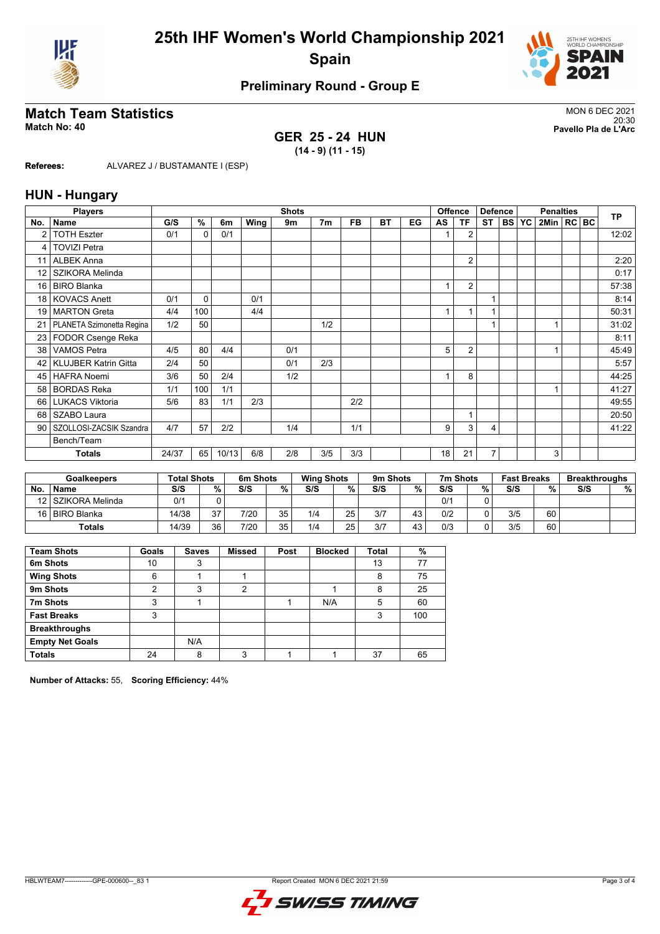



# **Preliminary Round - Group E**

## **Match Team Statistics** MON 6 DEC 2021

#### **GER 25 - 24 HUN (14 - 9) (11 - 15)**

20:30 **Match No: 40 Pavello Pla de L'Arc**

**Referees:** ALVAREZ J / BUSTAMANTE I (ESP)

#### **HUN - Hungary**

|                 | <b>Players</b>              | <b>Shots</b> |          |       |      |     |                |           |           |    | <b>Offence</b> | <b>Defence</b> |           | <b>Penalties</b> |           |              |  | <b>TP</b> |       |
|-----------------|-----------------------------|--------------|----------|-------|------|-----|----------------|-----------|-----------|----|----------------|----------------|-----------|------------------|-----------|--------------|--|-----------|-------|
| No.             | <b>Name</b>                 | G/S          | %        | 6m    | Wing | 9m  | 7 <sub>m</sub> | <b>FB</b> | <b>BT</b> | EG | AS             | <b>TF</b>      | <b>ST</b> | <b>BS</b>        | <b>YC</b> | 2Min   RC BC |  |           |       |
| 2               | <b>TOTH Eszter</b>          | 0/1          | 0        | 0/1   |      |     |                |           |           |    |                | $\overline{2}$ |           |                  |           |              |  |           | 12:02 |
| 4               | <b>TOVIZI Petra</b>         |              |          |       |      |     |                |           |           |    |                |                |           |                  |           |              |  |           |       |
| 11              | <b>ALBEK Anna</b>           |              |          |       |      |     |                |           |           |    |                | $\overline{2}$ |           |                  |           |              |  |           | 2:20  |
| 12              | SZIKORA Melinda             |              |          |       |      |     |                |           |           |    |                |                |           |                  |           |              |  |           | 0:17  |
| 16              | <b>BIRO Blanka</b>          |              |          |       |      |     |                |           |           |    |                | $\overline{2}$ |           |                  |           |              |  |           | 57:38 |
| 18 <sup>1</sup> | <b>KOVACS Anett</b>         | 0/1          | $\Omega$ |       | 0/1  |     |                |           |           |    |                |                |           |                  |           |              |  |           | 8:14  |
| 19              | <b>MARTON Greta</b>         | 4/4          | 100      |       | 4/4  |     |                |           |           |    |                |                | 4         |                  |           |              |  |           | 50:31 |
| 21              | PLANETA Szimonetta Regina   | 1/2          | 50       |       |      |     | 1/2            |           |           |    |                |                | 1         |                  |           |              |  |           | 31:02 |
|                 | 23   FODOR Csenge Reka      |              |          |       |      |     |                |           |           |    |                |                |           |                  |           |              |  |           | 8:11  |
| 38              | <b>VAMOS Petra</b>          | 4/5          | 80       | 4/4   |      | 0/1 |                |           |           |    | 5              | $\overline{2}$ |           |                  |           |              |  |           | 45:49 |
| 42              | <b>KLUJBER Katrin Gitta</b> | 2/4          | 50       |       |      | 0/1 | 2/3            |           |           |    |                |                |           |                  |           |              |  |           | 5:57  |
| 45              | <b>HAFRA Noemi</b>          | 3/6          | 50       | 2/4   |      | 1/2 |                |           |           |    |                | 8              |           |                  |           |              |  |           | 44:25 |
| 58              | <b>BORDAS Reka</b>          | 1/1          | 100      | 1/1   |      |     |                |           |           |    |                |                |           |                  |           |              |  |           | 41:27 |
|                 | 66   LUKACS Viktoria        | 5/6          | 83       | 1/1   | 2/3  |     |                | 2/2       |           |    |                |                |           |                  |           |              |  |           | 49:55 |
| 68              | SZABO Laura                 |              |          |       |      |     |                |           |           |    |                |                |           |                  |           |              |  |           | 20:50 |
| 90 <sub>1</sub> | SZOLLOSI-ZACSIK Szandra     | 4/7          | 57       | 2/2   |      | 1/4 |                | 1/1       |           |    | 9              | 3              | 4         |                  |           |              |  |           | 41:22 |
|                 | Bench/Team                  |              |          |       |      |     |                |           |           |    |                |                |           |                  |           |              |  |           |       |
|                 | <b>Totals</b>               | 24/37        | 65       | 10/13 | 6/8  | 2/8 | 3/5            | 3/3       |           |    | 18             | 21             | 7         |                  |           | 3            |  |           |       |

|           | <b>Goalkeepers</b> | <b>Total Shots</b> |    | 6m Shots |           | <b>Wing Shots</b> |    | 9m Shots |    | 7m Shots |   | <b>Fast Breaks</b> |    | <b>Breakthroughs</b> |   |
|-----------|--------------------|--------------------|----|----------|-----------|-------------------|----|----------|----|----------|---|--------------------|----|----------------------|---|
| <b>No</b> | <b>Name</b>        | S/S                | %  | S/S      | %         | S/S               | %  | S/S      | %  | S/S      | % | S/S                | %  | S/S                  | % |
|           | 12 SZIKORA Melinda | 0/1                |    |          |           |                   |    |          |    | 0/1      |   |                    |    |                      |   |
|           | 16 BIRO Blanka     | 14/38              | 27 | 7/20     | 35.       | 1/4               | 25 | 3/7      | 43 | 0/2      |   | 3/5                | 60 |                      |   |
|           | <b>Totals</b>      | 14/39              | 36 | 7/20     | 35.<br>ບບ | 1/4               | 25 | 3/7      | 43 | 0/3      |   | 3/5                | 60 |                      |   |

| <b>Team Shots</b>      | Goals | <b>Saves</b> | <b>Missed</b> | Post | <b>Blocked</b> | <b>Total</b> | %   |
|------------------------|-------|--------------|---------------|------|----------------|--------------|-----|
| 6m Shots               | 10    | 3            |               |      |                | 13           | 77  |
| <b>Wing Shots</b>      | 6     |              |               |      |                | 8            | 75  |
| 9m Shots               | າ     | 3            | 2             |      |                | 8            | 25  |
| 7m Shots               | 3     |              |               |      | N/A            | 5            | 60  |
| <b>Fast Breaks</b>     | 3     |              |               |      |                | 3            | 100 |
| <b>Breakthroughs</b>   |       |              |               |      |                |              |     |
| <b>Empty Net Goals</b> |       | N/A          |               |      |                |              |     |
| <b>Totals</b>          | 24    | 8            | 3             |      |                | 37           | 65  |

**Number of Attacks:** 55, **Scoring Efficiency:** 44%